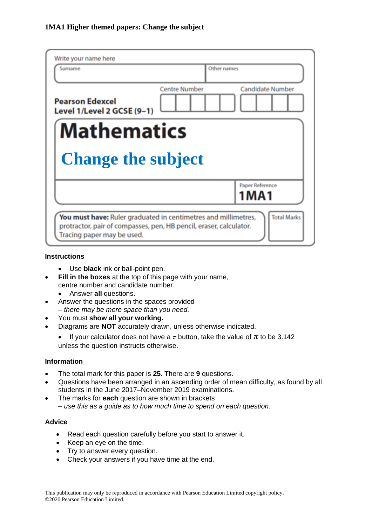| Write your name here<br>Surname                                | Other names          |                            |
|----------------------------------------------------------------|----------------------|----------------------------|
|                                                                |                      |                            |
| <b>Pearson Edexcel</b><br>Level 1/Level 2 GCSE (9-1)           | <b>Centre Number</b> | <b>Candidate Number</b>    |
| <b>Mathematics</b>                                             |                      |                            |
| <b>Change the subject</b>                                      |                      |                            |
|                                                                |                      | Paper Reference<br>1 M A 1 |
| You must have: Ruler graduated in centimetres and millimetres, |                      | <b>Total Marks</b>         |

## **Instructions**

- Use **black** ink or ball-point pen.
- **Fill in the boxes** at the top of this page with your name, centre number and candidate number.
	- Answer **all** questions.
- Answer the questions in the spaces provided *– there may be more space than you need.*
- You must **show all your working.**
- Diagrams are **NOT** accurately drawn, unless otherwise indicated.
	- If your calculator does not have a  $\pi$  button, take the value of  $\pi$  to be 3.142 unless the question instructs otherwise.

## **Information**

- The total mark for this paper is **25**. There are **9** questions.
- Questions have been arranged in an ascending order of mean difficulty, as found by all students in the June 2017–November 2019 examinations.
- The marks for **each** question are shown in brackets *– use this as a guide as to how much time to spend on each question.*

## **Advice**

- Read each question carefully before you start to answer it.
- Keep an eye on the time.
- Try to answer every question.
- Check your answers if you have time at the end.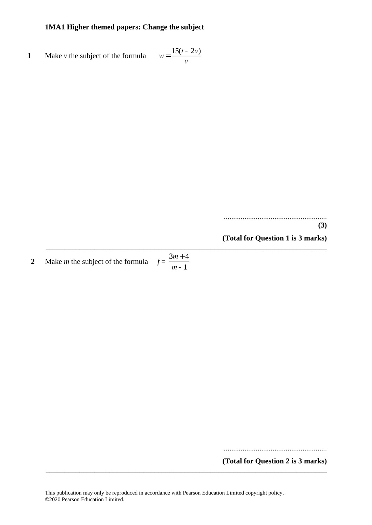**1** Make *v* the subject of the formula  $w = \frac{15(t - 2v)}{v}$ *v*

> ....................................................... **(3)**

**(Total for Question 1 is 3 marks)**

**2** Make *m* the subject of the formula  $f = \frac{3m+4}{1}$ *<sup>m</sup>*-1

.......................................................

**(Total for Question 2 is 3 marks)**

**\_\_\_\_\_\_\_\_\_\_\_\_\_\_\_\_\_\_\_\_\_\_\_\_\_\_\_\_\_\_\_\_\_\_\_\_\_\_\_\_\_\_\_\_\_\_\_\_\_\_\_\_\_\_\_\_\_\_\_\_\_\_\_\_\_\_\_\_\_\_\_\_\_\_\_**

**\_\_\_\_\_\_\_\_\_\_\_\_\_\_\_\_\_\_\_\_\_\_\_\_\_\_\_\_\_\_\_\_\_\_\_\_\_\_\_\_\_\_\_\_\_\_\_\_\_\_\_\_\_\_\_\_\_\_\_\_\_\_\_\_\_\_\_\_\_\_\_\_\_\_\_**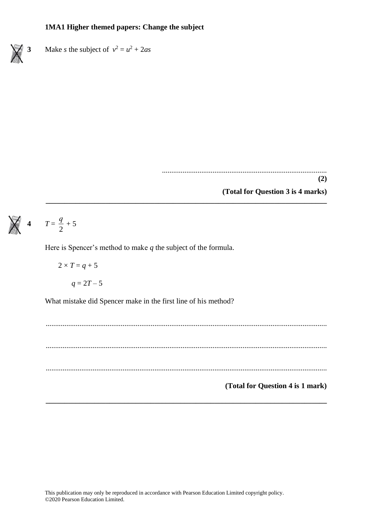**3** Make *s* the subject of  $v^2 = u^2 + 2as$ 

........................................................................................

**(2)**

**(Total for Question 3 is 4 marks)**

#### 4  $T = \frac{q}{q}$  $\frac{9}{2}$  + 5

Here is Spencer's method to make *q* the subject of the formula.

 $2 \times T = q + 5$ 

 $q = 2T - 5$ 

What mistake did Spencer make in the first line of his method?

...................................................................................................................................................... ...................................................................................................................................................... ...................................................................................................................................................... **(Total for Question 4 is 1 mark)**

**\_\_\_\_\_\_\_\_\_\_\_\_\_\_\_\_\_\_\_\_\_\_\_\_\_\_\_\_\_\_\_\_\_\_\_\_\_\_\_\_\_\_\_\_\_\_\_\_\_\_\_\_\_\_\_\_\_\_\_\_\_\_\_\_\_\_\_\_\_\_\_\_\_\_\_**

**\_\_\_\_\_\_\_\_\_\_\_\_\_\_\_\_\_\_\_\_\_\_\_\_\_\_\_\_\_\_\_\_\_\_\_\_\_\_\_\_\_\_\_\_\_\_\_\_\_\_\_\_\_\_\_\_\_\_\_\_\_\_\_\_\_\_\_\_\_\_\_\_\_\_\_**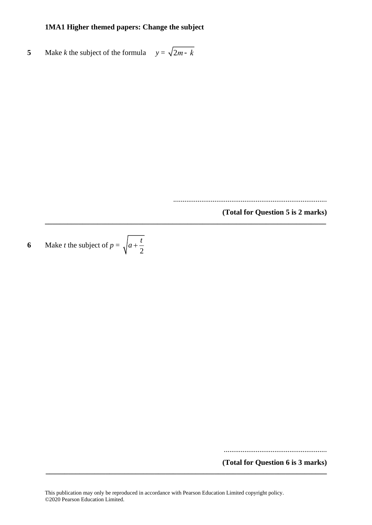**5** Make *k* the subject of the formula  $y = \sqrt{2m-k}$ 

..................................................................................

**\_\_\_\_\_\_\_\_\_\_\_\_\_\_\_\_\_\_\_\_\_\_\_\_\_\_\_\_\_\_\_\_\_\_\_\_\_\_\_\_\_\_\_\_\_\_\_\_\_\_\_\_\_\_\_\_\_\_\_\_\_\_\_\_\_\_\_\_\_\_\_\_\_\_\_**

**(Total for Question 5 is 2 marks)**

**6** Make *t* the subject of  $p = \sqrt{a + \frac{b}{2}}$  $a + \frac{t}{a}$ 

.......................................................

**(Total for Question 6 is 3 marks) \_\_\_\_\_\_\_\_\_\_\_\_\_\_\_\_\_\_\_\_\_\_\_\_\_\_\_\_\_\_\_\_\_\_\_\_\_\_\_\_\_\_\_\_\_\_\_\_\_\_\_\_\_\_\_\_\_\_\_\_\_\_\_\_\_\_\_\_\_\_\_\_\_\_\_**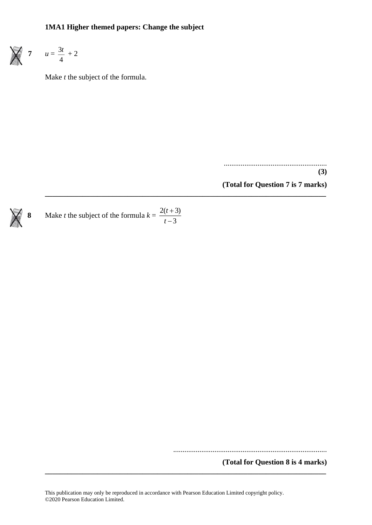**7**  $u = \frac{3u}{4}$  $\frac{3t}{t}$  + 2

Make *t* the subject of the formula.

....................................................... **(3)**

**(Total for Question 7 is 7 marks)**



..................................................................................

**(Total for Question 8 is 4 marks)**

**\_\_\_\_\_\_\_\_\_\_\_\_\_\_\_\_\_\_\_\_\_\_\_\_\_\_\_\_\_\_\_\_\_\_\_\_\_\_\_\_\_\_\_\_\_\_\_\_\_\_\_\_\_\_\_\_\_\_\_\_\_\_\_\_\_\_\_\_\_\_\_\_\_\_\_**

**\_\_\_\_\_\_\_\_\_\_\_\_\_\_\_\_\_\_\_\_\_\_\_\_\_\_\_\_\_\_\_\_\_\_\_\_\_\_\_\_\_\_\_\_\_\_\_\_\_\_\_\_\_\_\_\_\_\_\_\_\_\_\_\_\_\_\_\_\_\_\_\_\_\_\_**